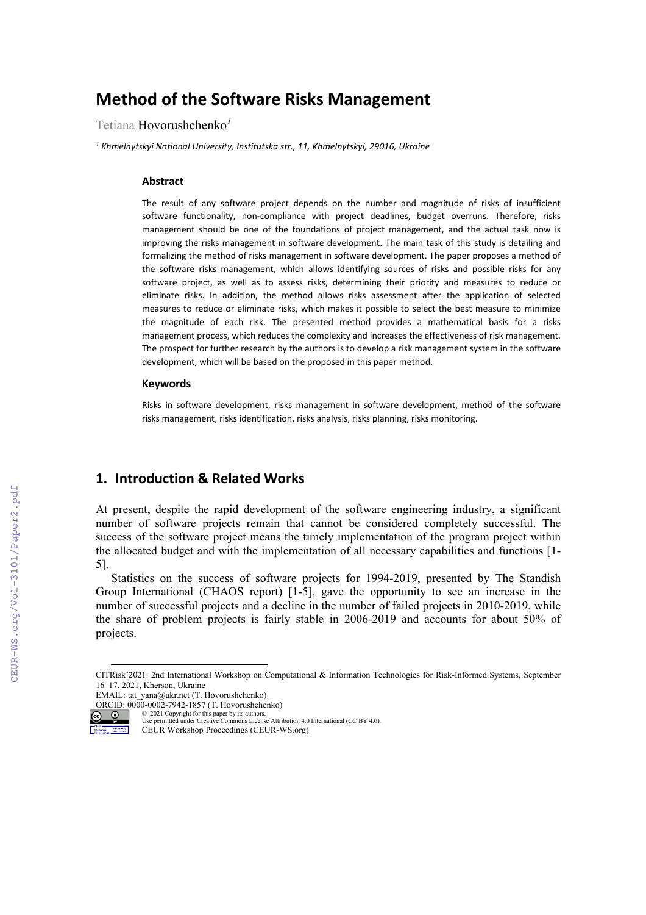# **Method of the Software Risks Management**

Tetiana Hovorushchenko*<sup>1</sup>*

*<sup>1</sup> Khmelnytskyi National University, Institutska str., 11, Khmelnytskyi, 29016, Ukraine*

#### **Abstract**

The result of any software project depends on the number and magnitude of risks of insufficient software functionality, non-compliance with project deadlines, budget overruns. Therefore, risks management should be one of the foundations of project management, and the actual task now is improving the risks management in software development. The main task of this study is detailing and formalizing the method of risks management in software development. The paper proposes a method of the software risks management, which allows identifying sources of risks and possible risks for any software project, as well as to assess risks, determining their priority and measures to reduce or eliminate risks. In addition, the method allows risks assessment after the application of selected measures to reduce or eliminate risks, which makes it possible to select the best measure to minimize the magnitude of each risk. The presented method provides a mathematical basis for a risks management process, which reduces the complexity and increases the effectiveness of risk management. The prospect for further research by the authors is to develop a risk management system in the software development, which will be based on the proposed in this paper method.

#### **Keywords [1](#page-0-0)**

Risks in software development, risks management in software development, method of the software risks management, risks identification, risks analysis, risks planning, risks monitoring.

## **1. Introduction & Related Works**

At present, despite the rapid development of the software engineering industry, a significant number of software projects remain that cannot be considered completely successful. The success of the software project means the timely implementation of the program project within the allocated budget and with the implementation of all necessary capabilities and functions [1- 5].

Statistics on the success of software projects for 1994-2019, presented by The Standish Group International (CHAOS report) [1-5], gave the opportunity to see an increase in the number of successful projects and a decline in the number of failed projects in 2010-2019, while the share of problem projects is fairly stable in 2006-2019 and accounts for about 50% of projects.



<sup>©</sup> 2021 Copyright for this paper by its authors. Use permitted under Creative Commons License Attribution 4.0 International (CC BY 4.0). CEUR Workshop Proceedings (CEUR-WS.org)

<span id="page-0-0"></span>CITRisk'2021: 2nd International Workshop on Computational & Information Technologies for Risk-Informed Systems, September 16–17, 2021, Kherson, Ukraine

EMAIL: tat\_yana@ukr.net (T. Hovorushchenko) ORCID: 0000-0002-7942-1857 (T. Hovorushchenko)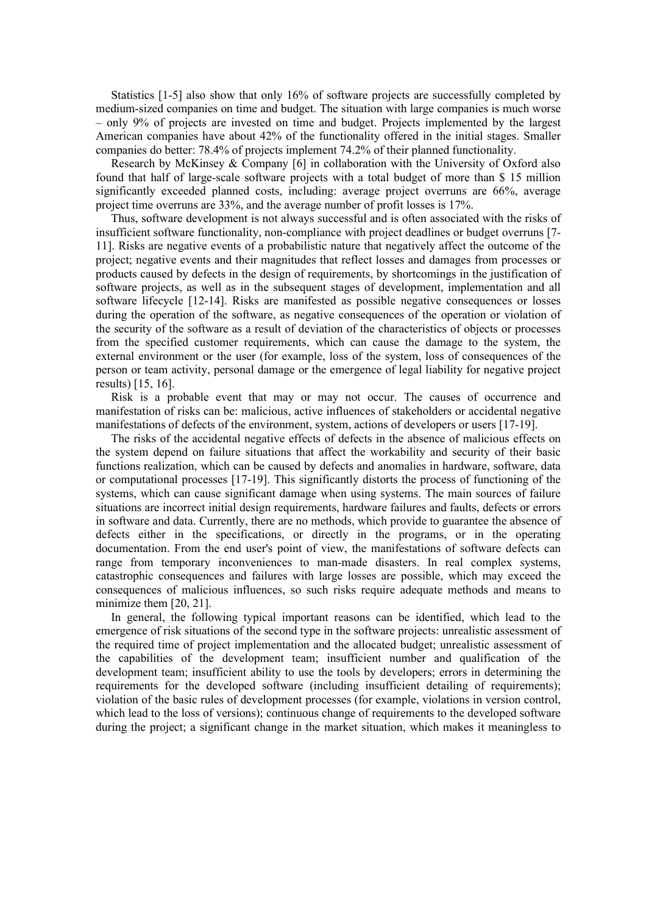Statistics [1-5] also show that only 16% of software projects are successfully completed by medium-sized companies on time and budget. The situation with large companies is much worse – only 9% of projects are invested on time and budget. Projects implemented by the largest American companies have about 42% of the functionality offered in the initial stages. Smaller companies do better: 78.4% of projects implement 74.2% of their planned functionality.

Research by McKinsey & Company [6] in collaboration with the University of Oxford also found that half of large-scale software projects with a total budget of more than \$ 15 million significantly exceeded planned costs, including: average project overruns are 66%, average project time overruns are 33%, and the average number of profit losses is 17%.

Thus, software development is not always successful and is often associated with the risks of insufficient software functionality, non-compliance with project deadlines or budget overruns [7- 11]. Risks are negative events of a probabilistic nature that negatively affect the outcome of the project; negative events and their magnitudes that reflect losses and damages from processes or products caused by defects in the design of requirements, by shortcomings in the justification of software projects, as well as in the subsequent stages of development, implementation and all software lifecycle [12-14]. Risks are manifested as possible negative consequences or losses during the operation of the software, as negative consequences of the operation or violation of the security of the software as a result of deviation of the characteristics of objects or processes from the specified customer requirements, which can cause the damage to the system, the external environment or the user (for example, loss of the system, loss of consequences of the person or team activity, personal damage or the emergence of legal liability for negative project results) [15, 16].

Risk is a probable event that may or may not occur. The causes of occurrence and manifestation of risks can be: malicious, active influences of stakeholders or accidental negative manifestations of defects of the environment, system, actions of developers or users [17-19].

The risks of the accidental negative effects of defects in the absence of malicious effects on the system depend on failure situations that affect the workability and security of their basic functions realization, which can be caused by defects and anomalies in hardware, software, data or computational processes [17-19]. This significantly distorts the process of functioning of the systems, which can cause significant damage when using systems. The main sources of failure situations are incorrect initial design requirements, hardware failures and faults, defects or errors in software and data. Currently, there are no methods, which provide to guarantee the absence of defects either in the specifications, or directly in the programs, or in the operating documentation. From the end user's point of view, the manifestations of software defects can range from temporary inconveniences to man-made disasters. In real complex systems, catastrophic consequences and failures with large losses are possible, which may exceed the consequences of malicious influences, so such risks require adequate methods and means to minimize them [20, 21].

In general, the following typical important reasons can be identified, which lead to the emergence of risk situations of the second type in the software projects: unrealistic assessment of the required time of project implementation and the allocated budget; unrealistic assessment of the capabilities of the development team; insufficient number and qualification of the development team; insufficient ability to use the tools by developers; errors in determining the requirements for the developed software (including insufficient detailing of requirements); violation of the basic rules of development processes (for example, violations in version control, which lead to the loss of versions); continuous change of requirements to the developed software during the project; a significant change in the market situation, which makes it meaningless to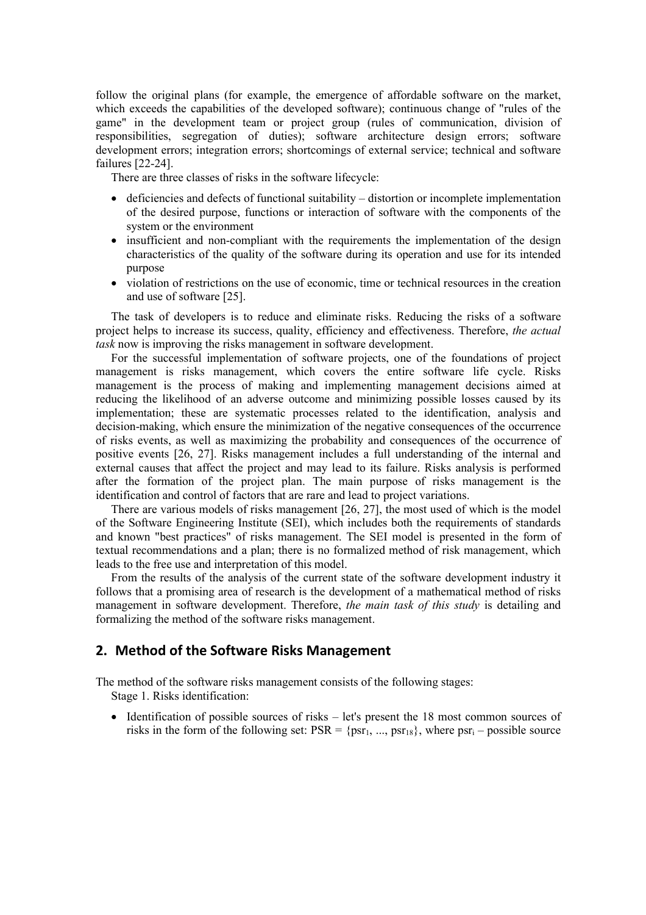follow the original plans (for example, the emergence of affordable software on the market, which exceeds the capabilities of the developed software); continuous change of "rules of the game" in the development team or project group (rules of communication, division of responsibilities, segregation of duties); software architecture design errors; software development errors; integration errors; shortcomings of external service; technical and software failures [22-24].

There are three classes of risks in the software lifecycle:

- deficiencies and defects of functional suitability distortion or incomplete implementation of the desired purpose, functions or interaction of software with the components of the system or the environment
- insufficient and non-compliant with the requirements the implementation of the design characteristics of the quality of the software during its operation and use for its intended purpose
- violation of restrictions on the use of economic, time or technical resources in the creation and use of software [25].

The task of developers is to reduce and eliminate risks. Reducing the risks of a software project helps to increase its success, quality, efficiency and effectiveness. Therefore, *the actual task* now is improving the risks management in software development.

For the successful implementation of software projects, one of the foundations of project management is risks management, which covers the entire software life cycle. Risks management is the process of making and implementing management decisions aimed at reducing the likelihood of an adverse outcome and minimizing possible losses caused by its implementation; these are systematic processes related to the identification, analysis and decision-making, which ensure the minimization of the negative consequences of the occurrence of risks events, as well as maximizing the probability and consequences of the occurrence of positive events [26, 27]. Risks management includes a full understanding of the internal and external causes that affect the project and may lead to its failure. Risks analysis is performed after the formation of the project plan. The main purpose of risks management is the identification and control of factors that are rare and lead to project variations.

There are various models of risks management [26, 27], the most used of which is the model of the Software Engineering Institute (SEI), which includes both the requirements of standards and known "best practices" of risks management. The SEI model is presented in the form of textual recommendations and a plan; there is no formalized method of risk management, which leads to the free use and interpretation of this model.

From the results of the analysis of the current state of the software development industry it follows that a promising area of research is the development of a mathematical method of risks management in software development. Therefore, *the main task of this study* is detailing and formalizing the method of the software risks management.

# **2. Method of the Software Risks Management**

The method of the software risks management consists of the following stages:

Stage 1. Risks identification:

• Identification of possible sources of risks – let's present the 18 most common sources of risks in the form of the following set:  $PSR = \{psr_1, ..., psr_{18}\}\$ , where  $psr_i - possible$  source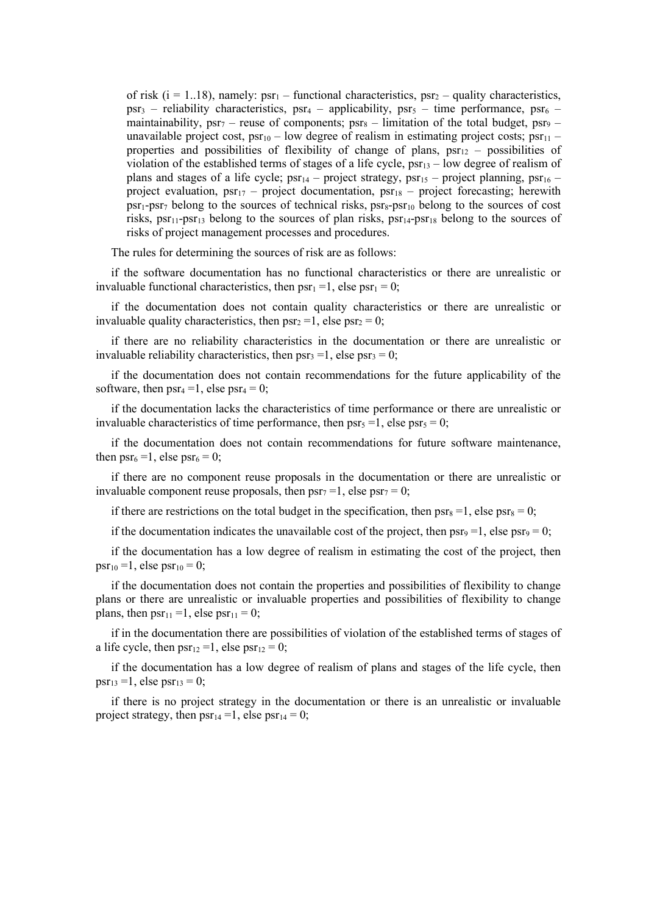of risk  $(i = 1..18)$ , namely:  $psr_1$  – functional characteristics,  $psr_2$  – quality characteristics,  $psr_3$  – reliability characteristics,  $psr_4$  – applicability,  $psr_5$  – time performance,  $psr_6$  – maintainability,  $psr_7$  – reuse of components;  $psr_8$  – limitation of the total budget,  $psr_9$  – unavailable project cost,  $psr_{10}$  – low degree of realism in estimating project costs;  $psr_{11}$  – properties and possibilities of flexibility of change of plans,  $psr_{12}$  – possibilities of violation of the established terms of stages of a life cycle,  $psr_{13}$  – low degree of realism of plans and stages of a life cycle;  $psr_{14}$  – project strategy,  $psr_{15}$  – project planning,  $psr_{16}$  – project evaluation,  $psr_{17}$  – project documentation,  $psr_{18}$  – project forecasting; herewith  $psr_1-psr_7$  belong to the sources of technical risks,  $psr_8-pr_10$  belong to the sources of cost risks,  $psr_{11}$ -psr<sub>13</sub> belong to the sources of plan risks,  $psr_{14}$ -psr<sub>18</sub> belong to the sources of risks of project management processes and procedures.

The rules for determining the sources of risk are as follows:

if the software documentation has no functional characteristics or there are unrealistic or invaluable functional characteristics, then  $psr_1 = 1$ , else  $psr_1 = 0$ ;

if the documentation does not contain quality characteristics or there are unrealistic or invaluable quality characteristics, then  $psr_2 = 1$ , else  $psr_2 = 0$ ;

if there are no reliability characteristics in the documentation or there are unrealistic or invaluable reliability characteristics, then  $psr_3 = 1$ , else  $psr_3 = 0$ ;

if the documentation does not contain recommendations for the future applicability of the software, then  $psr_4 = 1$ , else  $psr_4 = 0$ ;

if the documentation lacks the characteristics of time performance or there are unrealistic or invaluable characteristics of time performance, then  $psr_5 = 1$ , else  $psr_5 = 0$ ;

if the documentation does not contain recommendations for future software maintenance, then  $psr_6 = 1$ , else  $psr_6 = 0$ ;

if there are no component reuse proposals in the documentation or there are unrealistic or invaluable component reuse proposals, then  $psr_7 = 1$ , else  $psr_7 = 0$ ;

if there are restrictions on the total budget in the specification, then  $psr_8 = 1$ , else  $psr_8 = 0$ ;

if the documentation indicates the unavailable cost of the project, then  $psr_9 = 1$ , else  $psr_9 = 0$ ;

if the documentation has a low degree of realism in estimating the cost of the project, then  $psr_{10} = 1$ , else psr<sub>10</sub> = 0;

if the documentation does not contain the properties and possibilities of flexibility to change plans or there are unrealistic or invaluable properties and possibilities of flexibility to change plans, then  $psr_{11} = 1$ , else  $psr_{11} = 0$ ;

if in the documentation there are possibilities of violation of the established terms of stages of a life cycle, then  $psr_{12} = 1$ , else  $psr_{12} = 0$ ;

if the documentation has a low degree of realism of plans and stages of the life cycle, then  $psr_{13} = 1$ , else  $psr_{13} = 0$ ;

if there is no project strategy in the documentation or there is an unrealistic or invaluable project strategy, then  $psr_{14} = 1$ , else  $psr_{14} = 0$ ;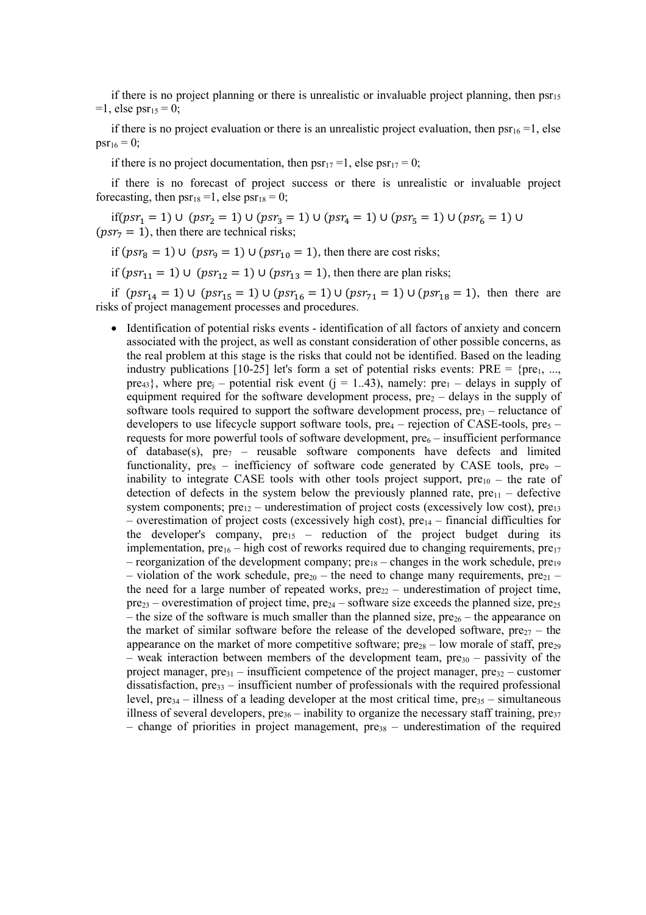if there is no project planning or there is unrealistic or invaluable project planning, then  $psr_{15}$  $=1$ , else psr<sub>15</sub> = 0;

if there is no project evaluation or there is an unrealistic project evaluation, then  $psr_{16} = 1$ , else  $psr_{16} = 0$ ;

if there is no project documentation, then  $psr_{17} = 1$ , else  $psr_{17} = 0$ ;

if there is no forecast of project success or there is unrealistic or invaluable project forecasting, then  $psr_{18} = 1$ , else  $psr_{18} = 0$ ;

if(psr<sub>1</sub> = 1) ∪ (psr<sub>2</sub> = 1) ∪ (psr<sub>3</sub> = 1) ∪ (psr<sub>4</sub> = 1) ∪ (psr<sub>5</sub> = 1) ∪ (psr<sub>6</sub> = 1) ∪  $(psr<sub>7</sub> = 1)$ , then there are technical risks;

if  $(psr_8 = 1) \cup (psr_9 = 1) \cup (psr_{10} = 1)$ , then there are cost risks;

if ( $psr_{11} = 1$ ) ∪ ( $psr_{12} = 1$ ) ∪ ( $psr_{13} = 1$ ), then there are plan risks;

if  $(psr_{14} = 1) \cup (psr_{15} = 1) \cup (psr_{16} = 1) \cup (psr_{71} = 1) \cup (psr_{18} = 1)$ , then there are risks of project management processes and procedures.

• Identification of potential risks events - identification of all factors of anxiety and concern associated with the project, as well as constant consideration of other possible concerns, as the real problem at this stage is the risks that could not be identified. Based on the leading industry publications [10-25] let's form a set of potential risks events:  $PRE = \{pre_1, ...,$ pre<sub>43</sub>}, where pre<sub>j</sub> – potential risk event (j = 1..43), namely: pre<sub>1</sub> – delays in supply of equipment required for the software development process,  $pre<sub>2</sub>$  – delays in the supply of software tools required to support the software development process,  $pre<sub>3</sub>$  – reluctance of developers to use lifecycle support software tools,  $pre_4$  – rejection of CASE-tools,  $pre_5$  – requests for more powerful tools of software development,  $pre<sub>6</sub> -$  insufficient performance of database(s),  $pre_7$  – reusable software components have defects and limited functionality,  $pre_8$  – inefficiency of software code generated by CASE tools,  $pre_9$  – inability to integrate CASE tools with other tools project support,  $pre_{10}$  – the rate of detection of defects in the system below the previously planned rate,  $pre_{11}$  – defective system components;  $pre<sub>12</sub>$  – underestimation of project costs (excessively low cost),  $pre<sub>13</sub>$ – overestimation of project costs (excessively high cost),  $pre<sub>14</sub>$  – financial difficulties for the developer's company,  $pre_{15}$  – reduction of the project budget during its implementation,  $pre_{16}$  – high cost of reworks required due to changing requirements,  $pre_{17}$ – reorganization of the development company;  $pre_{18}$  – changes in the work schedule,  $pre_{19}$ – violation of the work schedule,  $pre_{20}$  – the need to change many requirements,  $pre_{21}$  – the need for a large number of repeated works,  $pre_{22}$  – underestimation of project time,  $pre_{23}$  – overestimation of project time,  $pre_{24}$  – software size exceeds the planned size,  $pre_{25}$ – the size of the software is much smaller than the planned size,  $pre_{26}$  – the appearance on the market of similar software before the release of the developed software,  $pre_{27}$  – the appearance on the market of more competitive software;  $pre_{28}$  – low morale of staff,  $pre_{29}$ – weak interaction between members of the development team,  $pre_{30}$  – passivity of the project manager,  $pre_{31}$  – insufficient competence of the project manager,  $pre_{32}$  – customer dissatisfaction,  $pre_{33}$  – insufficient number of professionals with the required professional level,  $pre_{34}$  – illness of a leading developer at the most critical time,  $pre_{35}$  – simultaneous illness of several developers,  $pre_{36}$  – inability to organize the necessary staff training,  $pre_{37}$ – change of priorities in project management,  $pre_{38}$  – underestimation of the required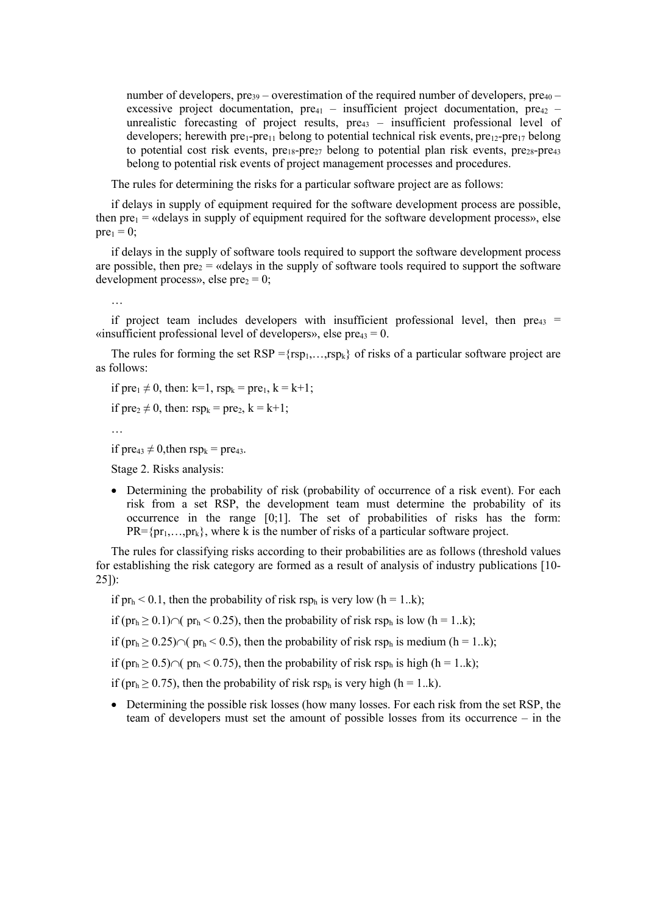number of developers, pre<sub>39</sub> – overestimation of the required number of developers, pre<sub>40</sub> – excessive project documentation,  $pre_{41}$  – insufficient project documentation,  $pre_{42}$  – unrealistic forecasting of project results, pre<sub>43</sub> – insufficient professional level of developers; herewith  $pre_{1}$ -pre<sub>11</sub> belong to potential technical risk events,  $pre_{12}$ -pre<sub>17</sub> belong to potential cost risk events,  $pre_{18}-pre_{27}$  belong to potential plan risk events,  $pre_{28}-pre_{43}$ belong to potential risk events of project management processes and procedures.

The rules for determining the risks for a particular software project are as follows:

if delays in supply of equipment required for the software development process are possible, then  $pre_1$  = «delays in supply of equipment required for the software development process», else  $pre_1 = 0$ ;

if delays in the supply of software tools required to support the software development process are possible, then  $pre_2$  = «delays in the supply of software tools required to support the software development process», else pre $_2 = 0$ ;

…

if project team includes developers with insufficient professional level, then  $pre_{43}$  = «insufficient professional level of developers», else pre $_{43} = 0$ .

The rules for forming the set  $RSP = {rsp_1,...,rsp_k}$  of risks of a particular software project are as follows:

if  $pre_1 \neq 0$ , then: k=1,  $rsp_k = pre_1$ , k = k+1;

if  $pre_2 \neq 0$ , then:  $rsp_k = pre_2$ ,  $k = k+1$ ;

```
…
```
if  $pre_{43} \neq 0$ , then  $resp_k = pre_{43}$ .

Stage 2. Risks analysis:

• Determining the probability of risk (probability of occurrence of a risk event). For each risk from a set RSP, the development team must determine the probability of its occurrence in the range [0;1]. The set of probabilities of risks has the form:  $PR = {pr_1, ..., pr_k}$ , where k is the number of risks of a particular software project.

The rules for classifying risks according to their probabilities are as follows (threshold values for establishing the risk category are formed as a result of analysis of industry publications [10- 25]):

if  $pr_h < 0.1$ , then the probability of risk rsp<sub>h</sub> is very low (h = 1..k);

if (pr<sub>h</sub> ≥ 0.1)∩( pr<sub>h</sub> < 0.25), then the probability of risk rsp<sub>h</sub> is low (h = 1..k);

if (pr<sub>h</sub> ≥ 0.25)∩( pr<sub>h</sub> < 0.5), then the probability of risk rsp<sub>h</sub> is medium (h = 1..k);

if (pr<sub>h</sub> ≥ 0.5)∩( pr<sub>h</sub> < 0.75), then the probability of risk rsp<sub>h</sub> is high (h = 1..k);

if (pr<sub>h</sub>  $\geq$  0.75), then the probability of risk rsp<sub>h</sub> is very high (h = 1..k).

• Determining the possible risk losses (how many losses. For each risk from the set RSP, the team of developers must set the amount of possible losses from its occurrence – in the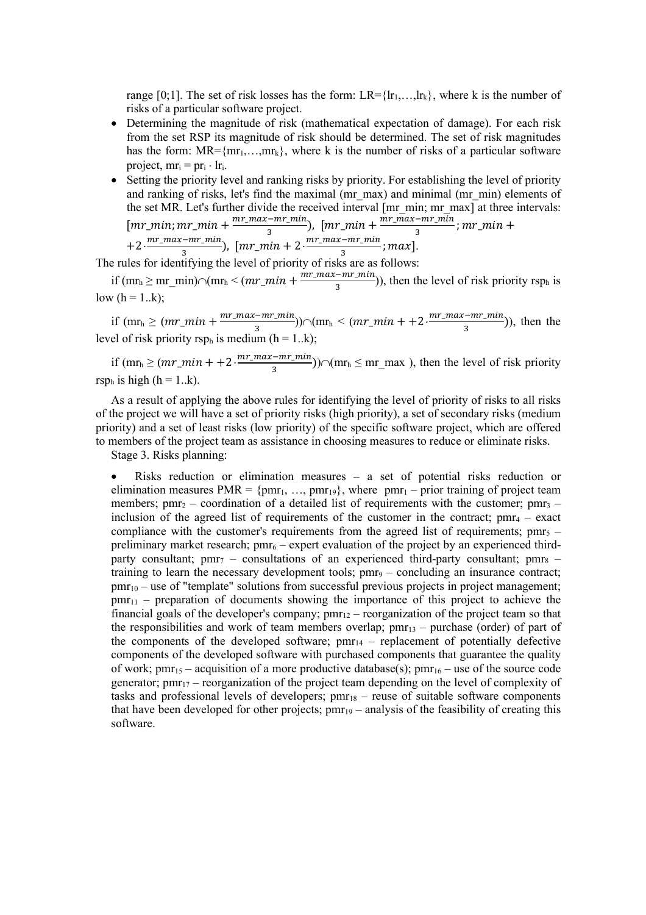range [0;1]. The set of risk losses has the form:  $LR = \{lr_1, \ldots, lr_k\}$ , where k is the number of risks of a particular software project.

- Determining the magnitude of risk (mathematical expectation of damage). For each risk from the set RSP its magnitude of risk should be determined. The set of risk magnitudes has the form:  $MR = \{mr_1, \ldots, mr_k\}$ , where k is the number of risks of a particular software project,  $mr_i = pr_i \cdot lr_i$ .
- Setting the priority level and ranking risks by priority. For establishing the level of priority and ranking of risks, let's find the maximal (mr\_max) and minimal (mr\_min) elements of the set MR. Let's further divide the received interval [mr\_min; mr\_max] at three intervals:  $\left[ mr\_min; mr\_min + \frac{mr\_max-mr\_min}{3}; mr\_min + \frac{mr\_max-mr\_min}{3}; mr\_min + \right]$

 $+2 \cdot \frac{mr\_max - mr\_min}{3}$ ,  $[mr\_min + 2 \cdot \frac{mr\_max - mr\_min}{3}; max]$ .

The rules for identifying the level of priority of risks are as follows:

if  $(mr_h \geq mr\_min) \cap (mr_h < (mr\_min + \frac{mr\_max-mr\_min}{3}))$ , then the level of risk priority rsp<sub>h</sub> is low  $(h = 1..k)$ ;

if  $(mr_h \geq (mr\_min + \frac{mr\_max-mr\_min}{3}) \cap (mr_h < (mr\_min + 2 \cdot \frac{mr\_max-mr\_min}{3})$ , then the level of risk priority rsp<sub>h</sub> is medium ( $h = 1..k$ );

if  $(mr_h \geq (mr\_min + 2 \cdot \frac{mr\_max - mr\_min}{3})$   $\cap$   $(mr_h \leq mr\_max)$ , then the level of risk priority rsp<sub>h</sub> is high (h = 1..k).

As a result of applying the above rules for identifying the level of priority of risks to all risks of the project we will have a set of priority risks (high priority), a set of secondary risks (medium priority) and a set of least risks (low priority) of the specific software project, which are offered to members of the project team as assistance in choosing measures to reduce or eliminate risks.

Stage 3. Risks planning:

Risks reduction or elimination measures  $-$  a set of potential risks reduction or elimination measures PMR =  $\{pm_1, ..., pm_{19}\}$ , where  $pm_1$  – prior training of project team members;  $pm_2$  – coordination of a detailed list of requirements with the customer;  $pm_3$  – inclusion of the agreed list of requirements of the customer in the contract;  $pm4 =$  exact compliance with the customer's requirements from the agreed list of requirements;  $pm_5$  – preliminary market research;  $pm_6$  – expert evaluation of the project by an experienced thirdparty consultant;  $pm7 -$  consultations of an experienced third-party consultant;  $pm8$ training to learn the necessary development tools;  $pm_9$  – concluding an insurance contract;  $pmr<sub>10</sub>$  – use of "template" solutions from successful previous projects in project management;  $pmr_{11}$  – preparation of documents showing the importance of this project to achieve the financial goals of the developer's company;  $pm_{12}$  – reorganization of the project team so that the responsibilities and work of team members overlap;  $pmr_{13}$  – purchase (order) of part of the components of the developed software;  $pm_{14}$  – replacement of potentially defective components of the developed software with purchased components that guarantee the quality of work;  $pm_{15}$  – acquisition of a more productive database(s);  $pm_{16}$  – use of the source code generator;  $pm_{17}$  – reorganization of the project team depending on the level of complexity of tasks and professional levels of developers;  $\text{pmr}_{18}$  – reuse of suitable software components that have been developed for other projects;  $pm_{19}$  – analysis of the feasibility of creating this software.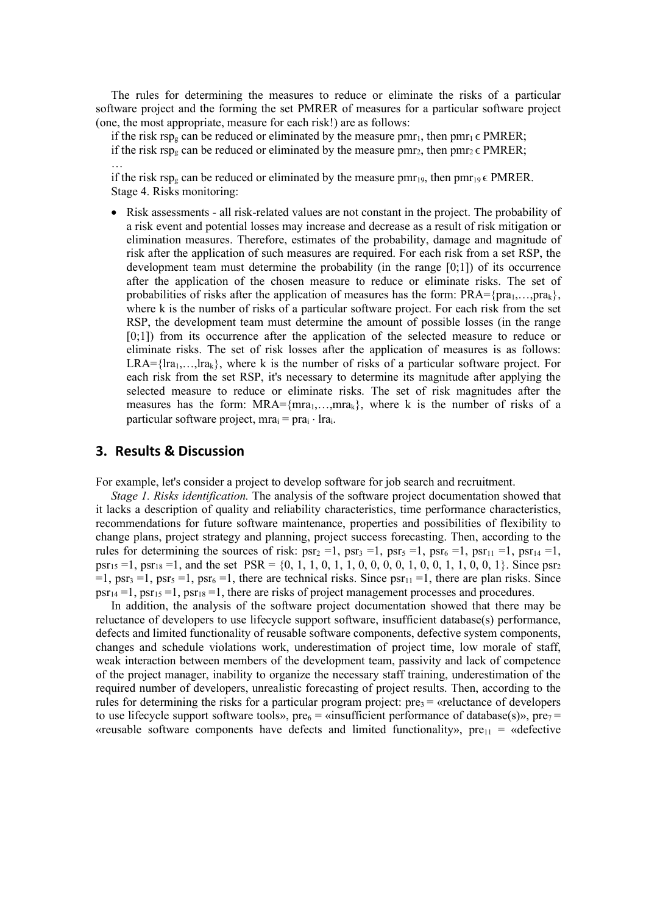The rules for determining the measures to reduce or eliminate the risks of a particular software project and the forming the set PMRER of measures for a particular software project (one, the most appropriate, measure for each risk!) are as follows:

if the risk rsp<sub>g</sub> can be reduced or eliminated by the measure pmr<sub>1</sub>, then pmr<sub>1</sub>  $\epsilon$  PMRER; if the risk rsp<sub>g</sub> can be reduced or eliminated by the measure pmr<sub>2</sub>, then pmr<sub>2</sub>  $\epsilon$  PMRER;

…

if the risk rsp<sub>g</sub> can be reduced or eliminated by the measure pmr<sub>19</sub>, then pmr<sub>19</sub>  $\epsilon$  PMRER. Stage 4. Risks monitoring:

• Risk assessments - all risk-related values are not constant in the project. The probability of a risk event and potential losses may increase and decrease as a result of risk mitigation or elimination measures. Therefore, estimates of the probability, damage and magnitude of risk after the application of such measures are required. For each risk from a set RSP, the development team must determine the probability (in the range [0;1]) of its occurrence after the application of the chosen measure to reduce or eliminate risks. The set of probabilities of risks after the application of measures has the form:  $PRA = \{pra_1, \ldots, pra_k\}$ , where k is the number of risks of a particular software project. For each risk from the set RSP, the development team must determine the amount of possible losses (in the range [0;1]) from its occurrence after the application of the selected measure to reduce or eliminate risks. The set of risk losses after the application of measures is as follows:  $LRA = \{lra_1,...,lra_k\}$ , where k is the number of risks of a particular software project. For each risk from the set RSP, it's necessary to determine its magnitude after applying the selected measure to reduce or eliminate risks. The set of risk magnitudes after the measures has the form:  $MRA = \{mra_1,...,mra_k\}$ , where k is the number of risks of a particular software project, mra $_i$  = pra $_i \cdot$  lra $_i$ .

#### **3. Results & Discussion**

For example, let's consider a project to develop software for job search and recruitment.

*Stage 1. Risks identification.* The analysis of the software project documentation showed that it lacks a description of quality and reliability characteristics, time performance characteristics, recommendations for future software maintenance, properties and possibilities of flexibility to change plans, project strategy and planning, project success forecasting. Then, according to the rules for determining the sources of risk:  $psr_2 = 1$ ,  $psr_3 = 1$ ,  $psr_5 = 1$ ,  $psr_{11} = 1$ ,  $psr_{14} = 1$ , psr<sub>15</sub> = 1, psr<sub>18</sub> = 1, and the set PSR = {0, 1, 1, 0, 1, 1, 0, 0, 0, 0, 1, 0, 0, 1, 1, 0, 0, 1}. Since psr<sub>2</sub>  $=1$ , psr<sub>3</sub>  $=1$ , psr<sub>5</sub>  $=1$ , psr<sub>6</sub>  $=1$ , there are technical risks. Since psr<sub>11</sub>  $=1$ , there are plan risks. Since  $psr_{14} = 1$ ,  $psr_{15} = 1$ ,  $psr_{18} = 1$ , there are risks of project management processes and procedures.

In addition, the analysis of the software project documentation showed that there may be reluctance of developers to use lifecycle support software, insufficient database(s) performance, defects and limited functionality of reusable software components, defective system components, changes and schedule violations work, underestimation of project time, low morale of staff, weak interaction between members of the development team, passivity and lack of competence of the project manager, inability to organize the necessary staff training, underestimation of the required number of developers, unrealistic forecasting of project results. Then, according to the rules for determining the risks for a particular program project:  $pre_3 =$  «reluctance of developers to use lifecycle support software tools», pre $6 = \kappa$ insufficient performance of database(s)», pre $7 = \kappa$ «reusable software components have defects and limited functionality»,  $pre_{11}$  = «defective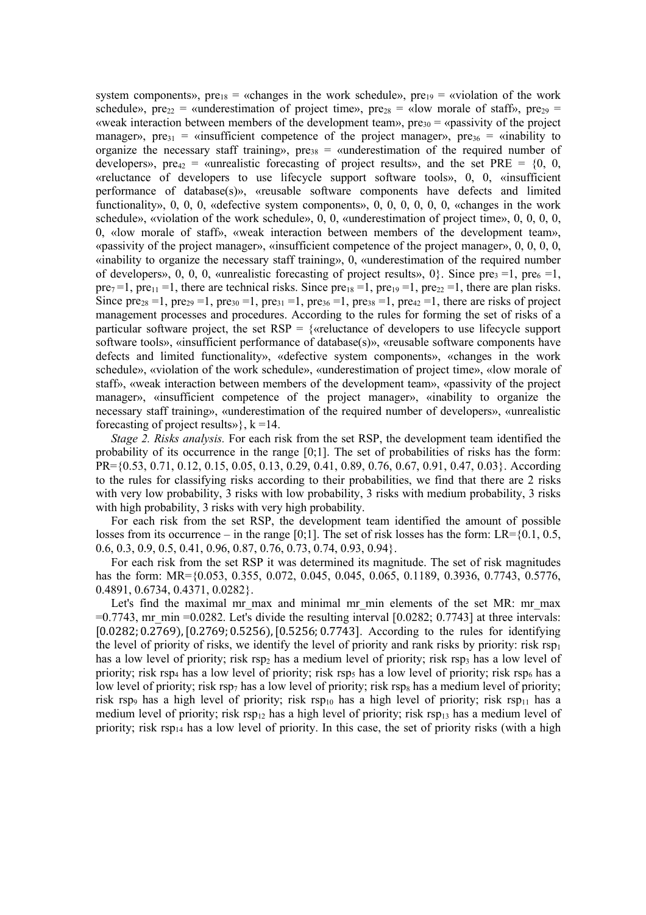system components»,  $pre<sub>18</sub> = «changes in the work schedule», pre<sub>19</sub> = «violation of the work$ schedule», pre<sub>22</sub> = «underestimation of project time», pre<sub>28</sub> = «low morale of staff», pre<sub>29</sub> = «weak interaction between members of the development team»,  $pre_{30} =$  «passivity of the project manager»,  $pre_{31}$  = «insufficient competence of the project manager»,  $pre_{36}$  = «inability to organize the necessary staff training»,  $pre_{38}$  = «underestimation of the required number of developers», pre<sub>42</sub> = «unrealistic forecasting of project results», and the set PRE =  $\{0, 0, 0\}$ «reluctance of developers to use lifecycle support software tools», 0, 0, «insufficient performance of database(s)», «reusable software components have defects and limited functionality», 0, 0, 0, «defective system components», 0, 0, 0, 0, 0, 0, «changes in the work schedule», «violation of the work schedule», 0, 0, «underestimation of project time», 0, 0, 0, 0, 0, «low morale of staff», «weak interaction between members of the development team», «passivity of the project manager», «insufficient competence of the project manager», 0, 0, 0, 0, «inability to organize the necessary staff training», 0, «underestimation of the required number of developers», 0, 0, 0, «unrealistic forecasting of project results», 0, Since pre<sub>3</sub> = 1, pre<sub>6</sub> = 1, pre<sub>7</sub>=1, pre<sub>11</sub> =1, there are technical risks. Since pre<sub>18</sub> =1, pre<sub>19</sub> =1, pre<sub>22</sub> =1, there are plan risks. Since pre<sub>28</sub> = 1, pre<sub>29</sub> = 1, pre<sub>30</sub> = 1, pre<sub>31</sub> = 1, pre<sub>36</sub> = 1, pre<sub>38</sub> = 1, pre<sub>42</sub> = 1, there are risks of project management processes and procedures. According to the rules for forming the set of risks of a particular software project, the set  $RSP = \{$  set well accelerate of developers to use lifecycle support software tools», «insufficient performance of database(s)», «reusable software components have defects and limited functionality», «defective system components», «changes in the work schedule», «violation of the work schedule», «underestimation of project time», «low morale of staff», «weak interaction between members of the development team», «passivity of the project manager», «insufficient competence of the project manager», «inability to organize the necessary staff training», «underestimation of the required number of developers», «unrealistic forecasting of project results» $\}$ ,  $k = 14$ .

*Stage 2. Risks analysis.* For each risk from the set RSP, the development team identified the probability of its occurrence in the range [0;1]. The set of probabilities of risks has the form: PR={0.53, 0.71, 0.12, 0.15, 0.05, 0.13, 0.29, 0.41, 0.89, 0.76, 0.67, 0.91, 0.47, 0.03}. According to the rules for classifying risks according to their probabilities, we find that there are 2 risks with very low probability, 3 risks with low probability, 3 risks with medium probability, 3 risks with high probability, 3 risks with very high probability.

For each risk from the set RSP, the development team identified the amount of possible losses from its occurrence – in the range  $[0;1]$ . The set of risk losses has the form: LR= $\{0.1, 0.5,$ 0.6, 0.3, 0.9, 0.5, 0.41, 0.96, 0.87, 0.76, 0.73, 0.74, 0.93, 0.94}.

For each risk from the set RSP it was determined its magnitude. The set of risk magnitudes has the form: MR={0.053, 0.355, 0.072, 0.045, 0.045, 0.065, 0.1189, 0.3936, 0.7743, 0.5776, 0.4891, 0.6734, 0.4371, 0.0282}.

Let's find the maximal mr\_max and minimal mr\_min elements of the set MR: mr\_max  $=0.7743$ , mr\_min =0.0282. Let's divide the resulting interval [0.0282; 0.7743] at three intervals: [0.0282; 0.2769), [0.2769; 0.5256), [0.5256; 0.7743]. According to the rules for identifying the level of priority of risks, we identify the level of priority and rank risks by priority: risk  $rsp_1$ has a low level of priority; risk  $\text{rsp}_2$  has a medium level of priority; risk  $\text{rsp}_3$  has a low level of priority; risk rsp<sub>4</sub> has a low level of priority; risk rsp<sub>5</sub> has a low level of priority; risk rsp<sub>6</sub> has a low level of priority; risk rsp<sub>7</sub> has a low level of priority; risk rsp<sub>8</sub> has a medium level of priority; risk rsp<sub>9</sub> has a high level of priority; risk rsp<sub>10</sub> has a high level of priority; risk rsp<sub>11</sub> has a medium level of priority; risk  $rsp_{12}$  has a high level of priority; risk  $rsp_{13}$  has a medium level of priority; risk rsp<sub>14</sub> has a low level of priority. In this case, the set of priority risks (with a high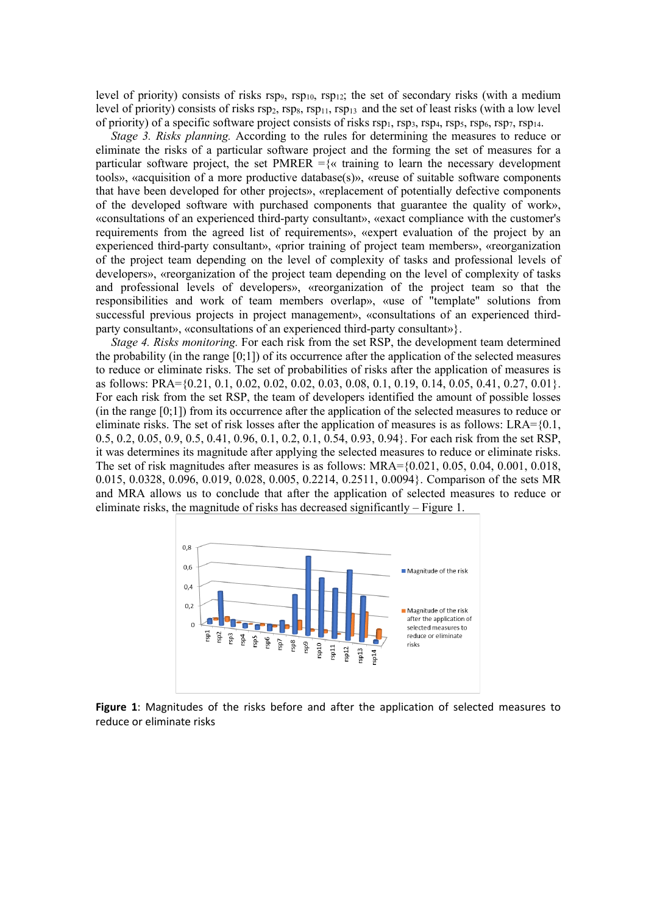level of priority) consists of risks rsp9, rsp<sub>10</sub>, rsp<sub>12</sub>; the set of secondary risks (with a medium level of priority) consists of risks  $rsp_2$ ,  $rsp_3$ ,  $rsp_{11}$ ,  $rsp_{13}$  and the set of least risks (with a low level of priority) of a specific software project consists of risks  $rsp_1$ ,  $rsp_3$ ,  $rsp_4$ ,  $rsp_5$ ,  $rsp_6$ ,  $rsp_7$ ,  $rsp_{14}$ .

*Stage 3. Risks planning.* According to the rules for determining the measures to reduce or eliminate the risks of a particular software project and the forming the set of measures for a particular software project, the set PMRER  $=\{\alpha\}$  training to learn the necessary development tools», «acquisition of a more productive database(s)», «reuse of suitable software components that have been developed for other projects», «replacement of potentially defective components of the developed software with purchased components that guarantee the quality of work», «consultations of an experienced third-party consultant», «exact compliance with the customer's requirements from the agreed list of requirements», «expert evaluation of the project by an experienced third-party consultant», «prior training of project team members», «reorganization of the project team depending on the level of complexity of tasks and professional levels of developers», «reorganization of the project team depending on the level of complexity of tasks and professional levels of developers», «reorganization of the project team so that the responsibilities and work of team members overlap», «use of "template" solutions from successful previous projects in project management», «consultations of an experienced thirdparty consultant», «consultations of an experienced third-party consultant»}.

*Stage 4. Risks monitoring.* For each risk from the set RSP, the development team determined the probability (in the range  $[0,1]$ ) of its occurrence after the application of the selected measures to reduce or eliminate risks. The set of probabilities of risks after the application of measures is as follows: PRA={0.21, 0.1, 0.02, 0.02, 0.02, 0.03, 0.08, 0.1, 0.19, 0.14, 0.05, 0.41, 0.27, 0.01}. For each risk from the set RSP, the team of developers identified the amount of possible losses  $(in the range [0,1])$  from its occurrence after the application of the selected measures to reduce or eliminate risks. The set of risk losses after the application of measures is as follows: LRA={0.1, 0.5, 0.2, 0.05, 0.9, 0.5, 0.41, 0.96, 0.1, 0.2, 0.1, 0.54, 0.93, 0.94}. For each risk from the set RSP, it was determines its magnitude after applying the selected measures to reduce or eliminate risks. The set of risk magnitudes after measures is as follows: MRA={0.021, 0.05, 0.04, 0.001, 0.018, 0.015, 0.0328, 0.096, 0.019, 0.028, 0.005, 0.2214, 0.2511, 0.0094}. Comparison of the sets MR and MRA allows us to conclude that after the application of selected measures to reduce or eliminate risks, the magnitude of risks has decreased significantly – Figure 1.



**Figure 1**: Magnitudes of the risks before and after the application of selected measures to reduce or eliminate risks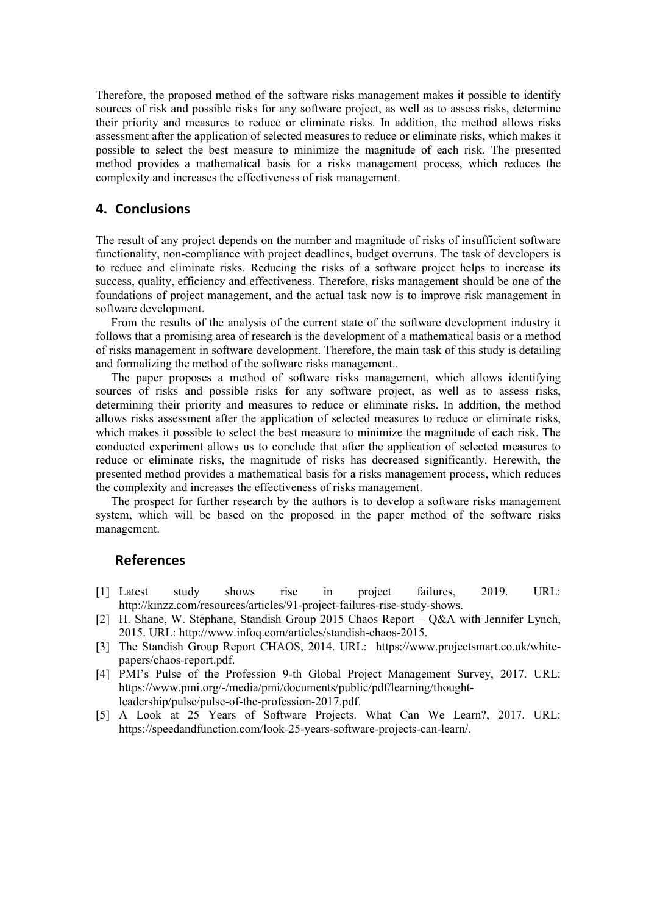Therefore, the proposed method of the software risks management makes it possible to identify sources of risk and possible risks for any software project, as well as to assess risks, determine their priority and measures to reduce or eliminate risks. In addition, the method allows risks assessment after the application of selected measures to reduce or eliminate risks, which makes it possible to select the best measure to minimize the magnitude of each risk. The presented method provides a mathematical basis for a risks management process, which reduces the complexity and increases the effectiveness of risk management.

### **4. Conclusions**

The result of any project depends on the number and magnitude of risks of insufficient software functionality, non-compliance with project deadlines, budget overruns. The task of developers is to reduce and eliminate risks. Reducing the risks of a software project helps to increase its success, quality, efficiency and effectiveness. Therefore, risks management should be one of the foundations of project management, and the actual task now is to improve risk management in software development.

From the results of the analysis of the current state of the software development industry it follows that a promising area of research is the development of a mathematical basis or a method of risks management in software development. Therefore, the main task of this study is detailing and formalizing the method of the software risks management..

The paper proposes a method of software risks management, which allows identifying sources of risks and possible risks for any software project, as well as to assess risks, determining their priority and measures to reduce or eliminate risks. In addition, the method allows risks assessment after the application of selected measures to reduce or eliminate risks, which makes it possible to select the best measure to minimize the magnitude of each risk. The conducted experiment allows us to conclude that after the application of selected measures to reduce or eliminate risks, the magnitude of risks has decreased significantly. Herewith, the presented method provides a mathematical basis for a risks management process, which reduces the complexity and increases the effectiveness of risks management.

The prospect for further research by the authors is to develop a software risks management system, which will be based on the proposed in the paper method of the software risks management.

### **References**

- [1] Latest study shows rise in project failures, 2019. URL: http://kinzz.com/resources/articles/91-project-failures-rise-study-shows.
- [2] H. Shane, W. Stéphane, Standish Group 2015 Chaos Report Q&A with Jennifer Lynch, 2015. URL: http://www.infoq.com/articles/standish-chaos-2015.
- [3] The Standish Group Report CHAOS, 2014. URL: https://www.projectsmart.co.uk/whitepapers/chaos-report.pdf.
- [4] PMI's Pulse of the Profession 9-th Global Project Management Survey, 2017. URL: https://www.pmi.org/-/media/pmi/documents/public/pdf/learning/thoughtleadership/pulse/pulse-of-the-profession-2017.pdf.
- [5] A Look at 25 Years of Software Projects. What Can We Learn?, 2017. URL: https://speedandfunction.com/look-25-years-software-projects-can-learn/.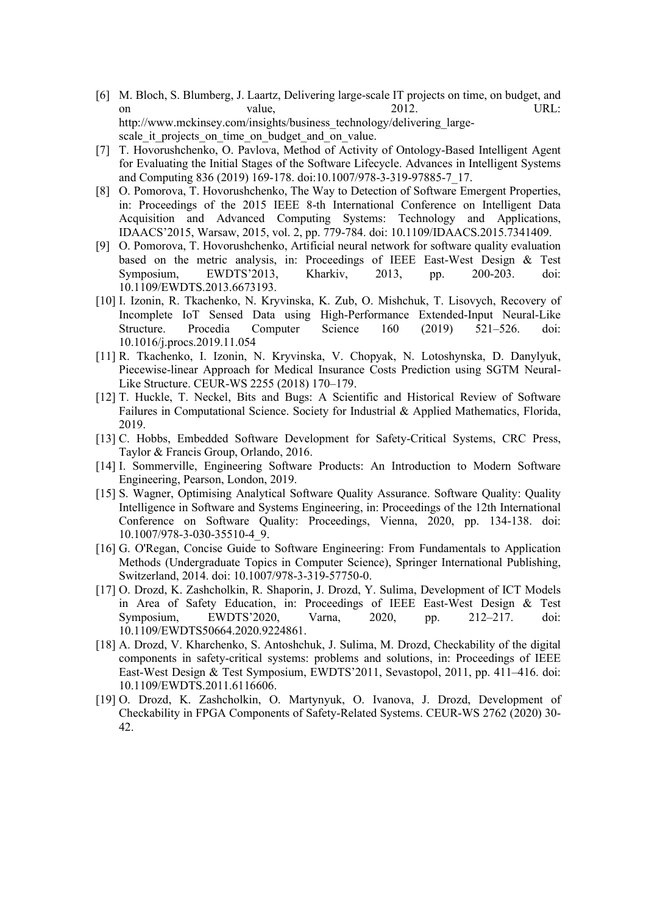- [6] M. Bloch, S. Blumberg, J. Laartz, Delivering large-scale IT projects on time, on budget, and on value,  $2012.$  URL: http://www.mckinsey.com/insights/business\_technology/delivering\_largescale it projects on time on budget and on value.
- [7] T. Hovorushchenko, O. Pavlova, Method of Activity of Ontology-Based Intelligent Agent for Evaluating the Initial Stages of the Software Lifecycle. Advances in Intelligent Systems and Computing 836 (2019) 169-178. doi:10.1007/978-3-319-97885-7\_17.
- [8] O. Pomorova, T. Hovorushchenko, The Way to Detection of Software Emergent Properties, in: Proceedings of the 2015 IEEE 8-th International Conference on Intelligent Data Acquisition and Advanced Computing Systems: Technology and Applications, IDAACS'2015, Warsaw, 2015, vol. 2, pp. 779-784. doi: 10.1109/IDAACS.2015.7341409.
- [9] O. Pomorova, T. Hovorushchenko, Artificial neural network for software quality evaluation based on the metric analysis, in: Proceedings of IEEE East-West Design & Test Symposium, EWDTS'2013, Kharkiv, 2013, pp. 200-203. doi: 10.1109/EWDTS.2013.6673193.
- [10] I. Izonin, R. Tkachenko, N. Kryvinska, K. Zub, O. Mishchuk, T. Lisovych, Recovery of Incomplete IoT Sensed Data using High-Performance Extended-Input Neural-Like Structure. Procedia Computer Science 160 (2019) 521–526. doi: 10.1016/j.procs.2019.11.054
- [11] R. Tkachenko, I. Izonin, N. Kryvinska, V. Chopyak, N. Lotoshynska, D. Danylyuk, Piecewise-linear Approach for Medical Insurance Costs Prediction using SGTM Neural-Like Structure. CEUR-WS 2255 (2018) 170–179.
- [12] T. Huckle, T. Neckel, Bits and Bugs: A Scientific and Historical Review of Software Failures in Computational Science. Society for Industrial & Applied Mathematics, Florida, 2019.
- [13] C. Hobbs, Embedded Software Development for Safety-Critical Systems, CRC Press, Taylor & Francis Group, Orlando, 2016.
- [14] I. Sommerville, Engineering Software Products: An Introduction to Modern Software Engineering, Pearson, London, 2019.
- [15] S. Wagner, Optimising Analytical Software Quality Assurance. Software Quality: Quality Intelligence in Software and Systems Engineering, in: Proceedings of the 12th International Conference on Software Quality: Proceedings, Vienna, 2020, pp. 134-138. doi: 10.1007/978-3-030-35510-4\_9.
- [16] G. O'Regan, Concise Guide to Software Engineering: From Fundamentals to Application Methods (Undergraduate Topics in Computer Science), Springer International Publishing, Switzerland, 2014. doi: 10.1007/978-3-319-57750-0.
- [17] O. Drozd, K. Zashcholkin, R. Shaporin, J. Drozd, Y. Sulima, Development of ICT Models in Area of Safety Education, in: Proceedings of IEEE East-West Design & Test Symposium, EWDTS'2020, Varna, 2020, pp. 212–217. doi: 10.1109/EWDTS50664.2020.9224861.
- [18] A. Drozd, V. Kharchenko, S. Antoshchuk, J. Sulima, M. Drozd, Checkability of the digital components in safety-critical systems: problems and solutions, in: Proceedings of IEEE East-West Design & Test Symposium, EWDTS'2011, Sevastopol, 2011, pp. 411–416. doi: 10.1109/EWDTS.2011.6116606.
- [19] O. Drozd, K. Zashcholkin, O. Martynyuk, O. Ivanova, J. Drozd, Development of Checkability in FPGA Components of Safety-Related Systems. CEUR-WS 2762 (2020) 30- 42.